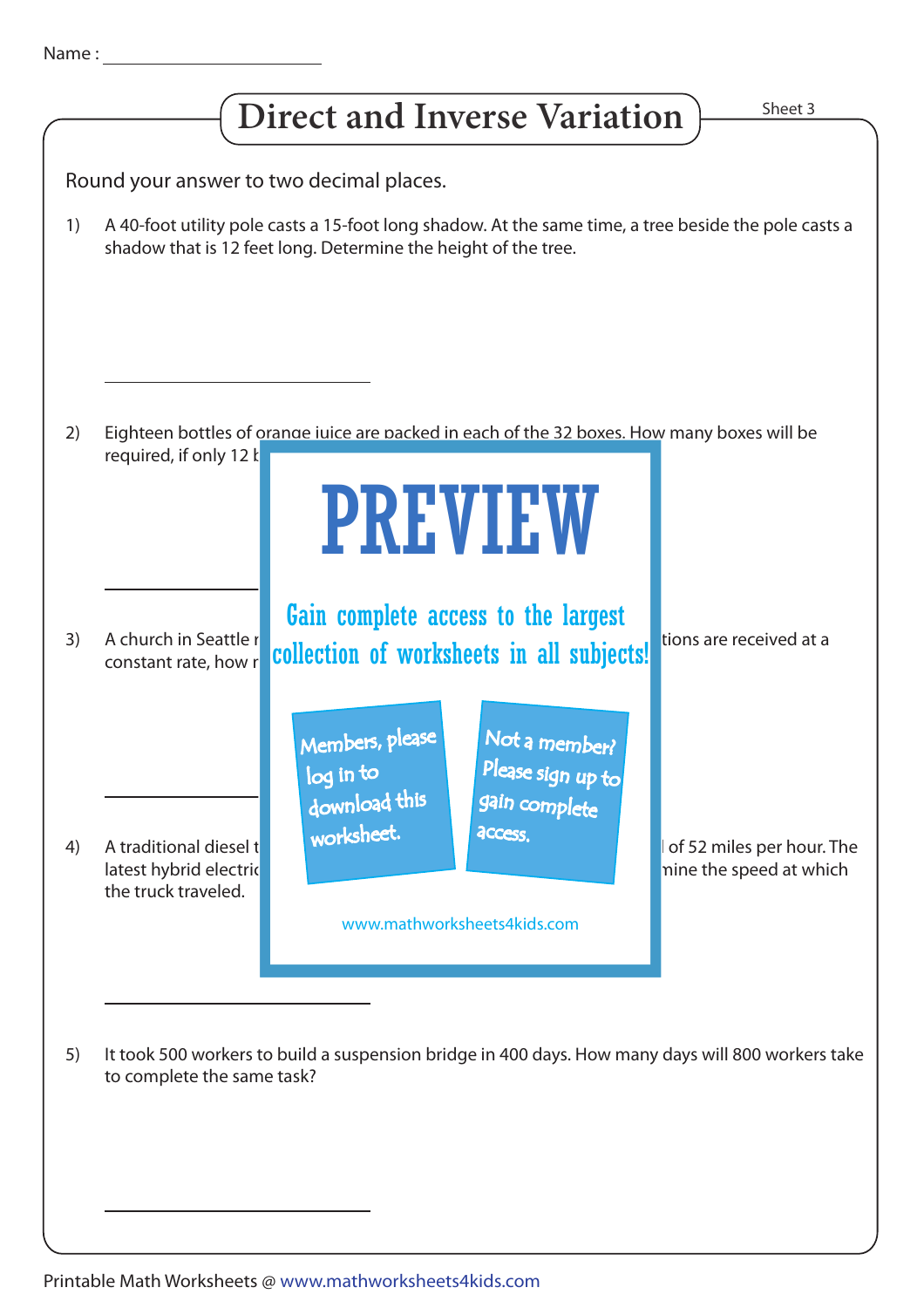